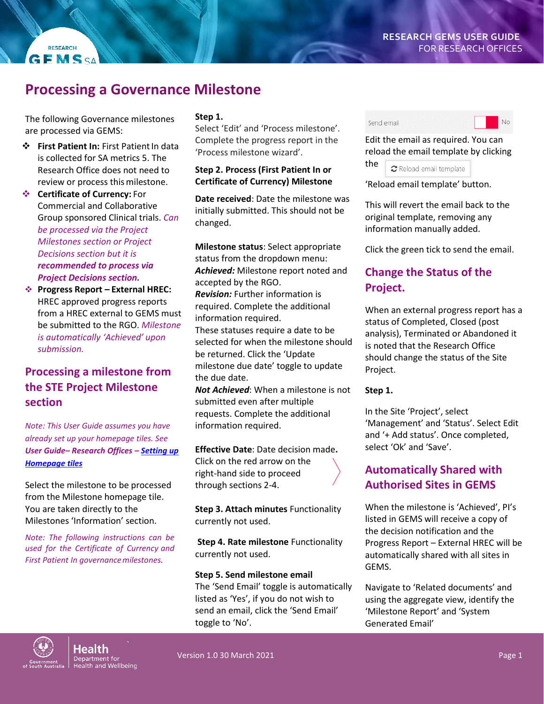# **Processing a Governance Milestone**

The following Governance milestones are processed via GEMS:

- $\div$  **First Patient In: First Patient In data** is collected for SA metrics 5. The Research Office does not need to review or process this milestone.
- **Certificate of Currency:** For Commercial and Collaborative Group sponsored Clinical trials. *Can be processed via the Project Milestones section or Project Decisions section but it is recommended to process via Project Decisions section.*
- **Progress Report – External HREC:**  HREC approved progress reports from a HREC external to GEMS must be submitted to the RGO. *Milestone is automatically 'Achieved' upon submission.*

# **Processing a milestone from the STE Project Milestone section**

*Note: This User Guide assumes you have already set up your homepage tiles. See User Guide– Research Offices – [Setting up](https://www.sahealth.sa.gov.au/wps/wcm/connect/public+content/sa+health+internet/resources/research+gems+research+office+home+page+tiles)  [Homepage tiles](https://www.sahealth.sa.gov.au/wps/wcm/connect/public+content/sa+health+internet/resources/research+gems+research+office+home+page+tiles)*

Select the milestone to be processed from the Milestone homepage tile. You are taken directly to the Milestones 'Information' section.

*Note: The following instructions can be used for the Certificate of Currency and First Patient In governancemilestones.*

#### **Step 1.**

Select 'Edit' and 'Process milestone'. Complete the progress report in the 'Process milestone wizard'.

### **Step 2. Process (First Patient In or Certificate of Currency) Milestone**

**Date received**: Date the milestone was initially submitted. This should not be changed.

**Milestone status**: Select appropriate status from the dropdown menu: *Achieved:* Milestone report noted and accepted by the RGO. *Revision:* Further information is required. Complete the additional information required. These statuses require a date to be selected for when the milestone should be returned. Click the 'Update milestone due date' toggle to update

the due date.

*Not Achieved*: When a milestone is not submitted even after multiple requests. Complete the additional information required.

**Effective Date**: Date decision made**.** Click on the red arrow on the right-hand side to proceed through sections 2-4.

**Step 3. Attach minutes** Functionality currently not used.

**Step 4. Rate milestone** Functionality currently not used.

#### **Step 5. Send milestone email**

The 'Send Email' toggle is automatically listed as 'Yes', if you do not wish to send an email, click the 'Send Email' toggle to 'No'.



Edit the email as required. You can reload the email template by clicking

the  $\sigma$  Reload email template

'Reload email template' button.

This will revert the email back to the original template, removing any information manually added.

Click the green tick to send the email.

# **Change the Status of the Project.**

When an external progress report has a status of Completed, Closed (post analysis), Terminated or Abandoned it is noted that the Research Office should change the status of the Site Project.

#### **Step 1.**

In the Site 'Project', select 'Management' and 'Status'. Select Edit and '+ Add status'. Once completed, select 'Ok' and 'Save'.

# **Automatically Shared with Authorised Sites in GEMS**

When the milestone is 'Achieved', PI's listed in GEMS will receive a copy of the decision notification and the Progress Report – External HREC will be automatically shared with all sites in GEMS.

Navigate to 'Related documents' and using the aggregate view, identify the 'Milestone Report' and 'System Generated Email'



Health Department for<br>Health and Wellbeing

Version 1.0 30 March 2021 Page 1